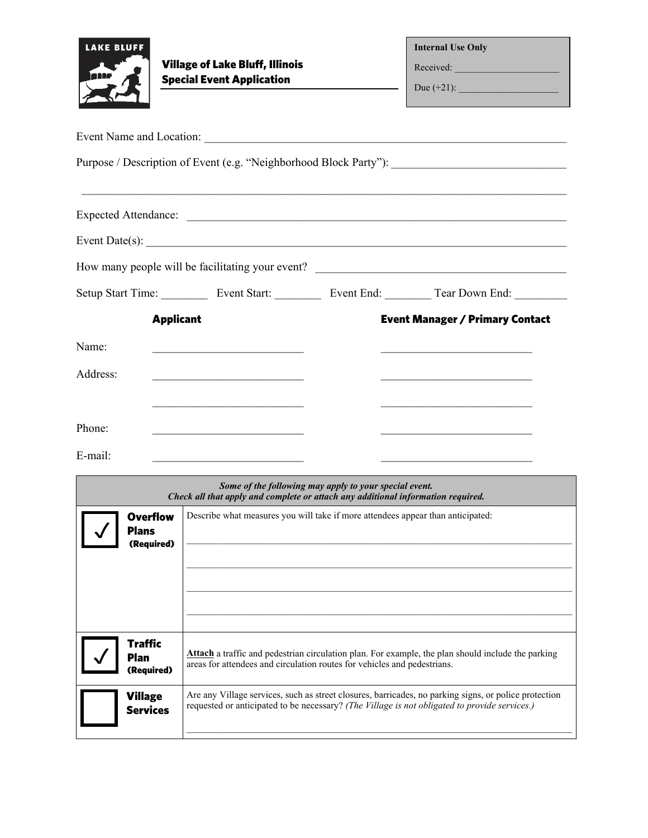| <b>LAKE BLUFF</b>                                          | <b>Village of Lake Bluff, Illinois</b><br><b>Special Event Application</b>                                                                                                                                                    |  | <b>Internal Use Only</b><br>Received:                                                                                                                                                                                            |
|------------------------------------------------------------|-------------------------------------------------------------------------------------------------------------------------------------------------------------------------------------------------------------------------------|--|----------------------------------------------------------------------------------------------------------------------------------------------------------------------------------------------------------------------------------|
|                                                            | Event Name and Location:                                                                                                                                                                                                      |  |                                                                                                                                                                                                                                  |
|                                                            |                                                                                                                                                                                                                               |  | Purpose / Description of Event (e.g. "Neighborhood Block Party"): __________________________________                                                                                                                             |
|                                                            |                                                                                                                                                                                                                               |  |                                                                                                                                                                                                                                  |
|                                                            |                                                                                                                                                                                                                               |  | Event Date(s): $\qquad \qquad$                                                                                                                                                                                                   |
|                                                            |                                                                                                                                                                                                                               |  |                                                                                                                                                                                                                                  |
|                                                            |                                                                                                                                                                                                                               |  | Setup Start Time: ____________ Event Start: _____________ Event End: ___________ Tear Down End: __________                                                                                                                       |
| <b>Applicant</b><br>Name:<br>Address:<br>Phone:<br>E-mail: | <u> 1989 - Johann Barbara, martin amerikan basar dan berasal dalam basar dalam basar dalam basar dalam basar dala</u><br>the contract of the contract of the contract of the contract of the contract of                      |  | <b>Event Manager / Primary Contact</b><br>the control of the control of the control of the control of the control of the control of<br>the control of the control of the control of the control of the control of the control of |
| <b>Overflow</b><br>Plans<br>(Required)                     | Some of the following may apply to your special event.<br>Check all that apply and complete or attach any additional information required.<br>Describe what measures you will take if more attendees appear than anticipated: |  |                                                                                                                                                                                                                                  |
| <b>Traffic</b><br>Plan<br>(Required)                       | Attach a traffic and pedestrian circulation plan. For example, the plan should include the parking<br>areas for attendees and circulation routes for vehicles and pedestrians.                                                |  |                                                                                                                                                                                                                                  |
| <b>Village</b><br><b>Services</b>                          | Are any Village services, such as street closures, barricades, no parking signs, or police protection<br>requested or anticipated to be necessary? (The Village is not obligated to provide services.)                        |  |                                                                                                                                                                                                                                  |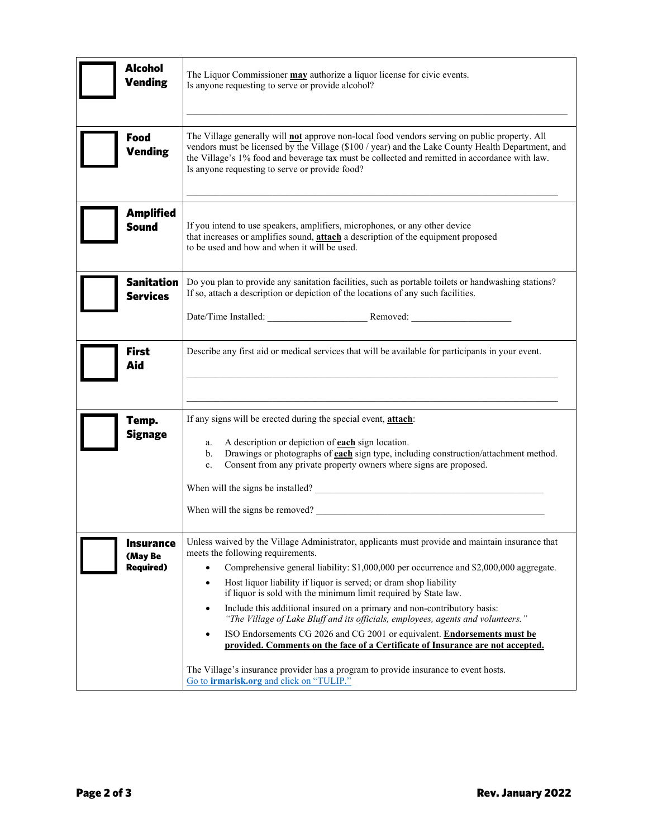| <b>Alcohol</b><br><b>Vending</b>                | The Liquor Commissioner <b>may</b> authorize a liquor license for civic events.<br>Is anyone requesting to serve or provide alcohol?                                                                                                                                                                                                                                                                                                                                                                                                                                                                                                                                                                                                                                                                                                                                                        |  |  |
|-------------------------------------------------|---------------------------------------------------------------------------------------------------------------------------------------------------------------------------------------------------------------------------------------------------------------------------------------------------------------------------------------------------------------------------------------------------------------------------------------------------------------------------------------------------------------------------------------------------------------------------------------------------------------------------------------------------------------------------------------------------------------------------------------------------------------------------------------------------------------------------------------------------------------------------------------------|--|--|
| Food<br><b>Vending</b>                          | The Village generally will not approve non-local food vendors serving on public property. All<br>vendors must be licensed by the Village (\$100 / year) and the Lake County Health Department, and<br>the Village's 1% food and beverage tax must be collected and remitted in accordance with law.<br>Is anyone requesting to serve or provide food?                                                                                                                                                                                                                                                                                                                                                                                                                                                                                                                                       |  |  |
| <b>Amplified</b><br><b>Sound</b>                | If you intend to use speakers, amplifiers, microphones, or any other device<br>that increases or amplifies sound, attach a description of the equipment proposed<br>to be used and how and when it will be used.                                                                                                                                                                                                                                                                                                                                                                                                                                                                                                                                                                                                                                                                            |  |  |
| <b>Sanitation</b><br><b>Services</b>            | Do you plan to provide any sanitation facilities, such as portable toilets or handwashing stations?<br>If so, attach a description or depiction of the locations of any such facilities.<br>Date/Time Installed: Removed: Removed:                                                                                                                                                                                                                                                                                                                                                                                                                                                                                                                                                                                                                                                          |  |  |
| <b>First</b><br>Aid                             | Describe any first aid or medical services that will be available for participants in your event.                                                                                                                                                                                                                                                                                                                                                                                                                                                                                                                                                                                                                                                                                                                                                                                           |  |  |
| Temp.<br><b>Signage</b>                         | If any signs will be erected during the special event, attach:<br>A description or depiction of <b>each</b> sign location.<br>a.<br>Drawings or photographs of <b>each</b> sign type, including construction/attachment method.<br>$\mathbf{b}$ .<br>Consent from any private property owners where signs are proposed.<br>$c_{\cdot}$<br>When will the signs be installed?<br><u> </u><br>When will the signs be removed?                                                                                                                                                                                                                                                                                                                                                                                                                                                                  |  |  |
| <b>Insurance</b><br>(May Be<br><b>Required)</b> | Unless waived by the Village Administrator, applicants must provide and maintain insurance that<br>meets the following requirements.<br>Comprehensive general liability: \$1,000,000 per occurrence and \$2,000,000 aggregate.<br>$\bullet$<br>Host liquor liability if liquor is served; or dram shop liability<br>$\bullet$<br>if liquor is sold with the minimum limit required by State law.<br>Include this additional insured on a primary and non-contributory basis:<br>$\bullet$<br>"The Village of Lake Bluff and its officials, employees, agents and volunteers."<br>ISO Endorsements CG 2026 and CG 2001 or equivalent. Endorsements must be<br>$\bullet$<br>provided. Comments on the face of a Certificate of Insurance are not accepted.<br>The Village's insurance provider has a program to provide insurance to event hosts.<br>Go to irmarisk.org and click on "TULIP." |  |  |